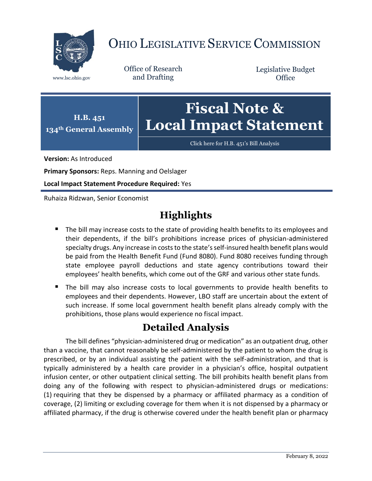

## OHIO LEGISLATIVE SERVICE COMMISSION

Office of Research www.lsc.ohio.gov and Drafting

Legislative Budget **Office** 



[Click here for H.B. 451](https://www.legislature.ohio.gov/legislation/legislation-documents?id=GA134-HB-451)'s Bill Analysis

**Version:** As Introduced

**Primary Sponsors:** Reps. Manning and Oelslager

**Local Impact Statement Procedure Required:** Yes

Ruhaiza Ridzwan, Senior Economist

## **Highlights**

- The bill may increase costs to the state of providing health benefits to its employees and their dependents, if the bill's prohibitions increase prices of physician-administered specialty drugs. Any increase in costs to the state's self-insured health benefit plans would be paid from the Health Benefit Fund (Fund 8080). Fund 8080 receives funding through state employee payroll deductions and state agency contributions toward their employees' health benefits, which come out of the GRF and various other state funds.
- The bill may also increase costs to local governments to provide health benefits to employees and their dependents. However, LBO staff are uncertain about the extent of such increase. If some local government health benefit plans already comply with the prohibitions, those plans would experience no fiscal impact.

## **Detailed Analysis**

The bill defines "physician-administered drug or medication" as an outpatient drug, other than a vaccine, that cannot reasonably be self-administered by the patient to whom the drug is prescribed, or by an individual assisting the patient with the self-administration, and that is typically administered by a health care provider in a physician's office, hospital outpatient infusion center, or other outpatient clinical setting. The bill prohibits health benefit plans from doing any of the following with respect to physician-administered drugs or medications: (1) requiring that they be dispensed by a pharmacy or affiliated pharmacy as a condition of coverage, (2) limiting or excluding coverage for them when it is not dispensed by a pharmacy or affiliated pharmacy, if the drug is otherwise covered under the health benefit plan or pharmacy